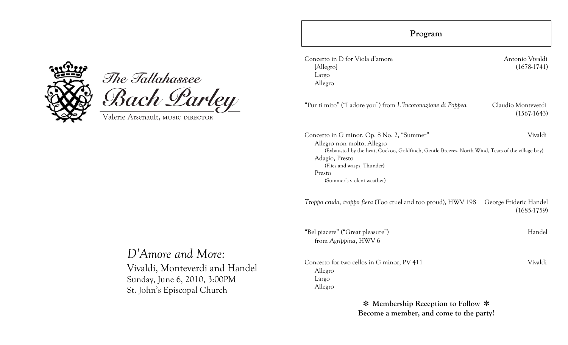



Valerie Arsenault, MUSIC DIRECTOR

| Antonio Vivaldi<br>$(1678-1741)$                                                                 |
|--------------------------------------------------------------------------------------------------|
| Claudio Monteverdi<br>$(1567-1643)$                                                              |
| Vivaldi                                                                                          |
| (Exhausted by the heat, Cuckoo, Goldfinch, Gentle Breezes, North Wind, Tears of the village boy) |
| George Frideric Handel<br>$(1685-1759)$                                                          |
| Handel                                                                                           |
| Vivaldi                                                                                          |
|                                                                                                  |

✽ **Membership Reception to Follow** ✽ **Become a member, and come to the party!**

# *D'Amore and More:*

Vivaldi, Monteverdi and Handel Sunday, June 6, 2010, 3:00PM St. John's Episcopal Church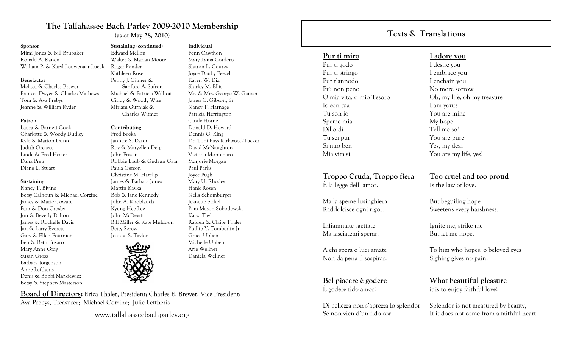# **The Tallahassee Bach Parley 2009-2010 Membership (as of May 28, 2010)**

**Sustaining (continued)** Edward Mellon

Walter & Marian Moore

 Sanford A. Safron Michael & Patricia Wilhoit Cindy & Woody Wise Miriam Gurniak & Charles Witmer

Robbie Laub & Gudrun Gaar

Roger Ponder Kathleen Rose Penny J. Gilmer &

**Contributing** Fred Boska Jannice S. Dann Roy & Maryellen Delp

John Fraser

Paula Gerson Christine M. Hazelip James & Barbara Jones

Martin Kavka Bob & Jane Kennedy John A. Knoblauch Kyung Hee Lee John McDevitt

#### **Sponsor**

Mimi Jones & Bill Brubaker Ronald A. Kanen William P. & Karyl Louwenaar Lueck

### **Benefactor**

Melissa & Charles Brewer Frances Dwyer & Charles Mathews Tom & Ava Prebys Jeanne & William Ryder

#### **Patron**

Laura & Barnett Cook Charlotte & Woody Dudley Kyle & Marion Dunn Judith Greaves Linda & Fred Hester Dana Preu Diane L. Stuart

#### **Sustaining**

Nancy T. Bivins Betsy Calhoun & Michael Corzine James & Marie Cowart Pam & Don Crosby Jon & Beverly Dalton James & Rochelle Davis Jan & Larry Everett Gary & Ellen Fournier Ben & Beth Fusaro Mary Anne Gray Susan Gross Barbara Jorgenson Anne Leftheris Denis & Bobbi Markiewicz Betsy & Stephen Masterson



Bill Miller & Kate Muldoon

**Board of Directors:** Erica Thaler, President; Charles E. Brewer, Vice President; Ava Prebys, Treasurer; Michael Corzine; Julie Leftheris

www.tallahasseebachparley.org

### **Individual**

Fenn Cawthon Mary Lama Cordero Sharon L. Courey Joyce Dauby Feezel Karen W. Dix Shirley M. Ellis Mr. & Mrs. George W. Gauger James C. Gibson, Sr Nancy T. Harnage Patricia Herrington Cindy Horne Donald D. Howard Dennis G. King Dr. Toni Fuss Kirkwood-Tucker David McNaughton Victoria Montanaro Marjorie Morgan Paul Parks Joyce Pugh Mary U. Rhodes Hank Rosen Nella Schomburger Jeanette Sickel Pam Mason Sobodowski Katya Taylor Raiden & Claire Thaler Phillip Y. Tomberlin Jr. Grace Ubben Michelle Ubben Arie Wellner Daniela Wellner

# **Texts & Translations**

### **Pur ti miro**

Pur ti godo Pur ti stringo Pur t'annodo Più non peno O mia vita, o mio Tesoro Io son tua Tu son io Speme mia Dillo dì Tu sei pur Sì mio ben Mia vita sì!

## **Troppo Cruda, Troppo fiera**

È la legge dell' amor.

Ma la speme lusinghiera Raddolcisce ogni rigor.

Infiammate saettate Ma lasciatemi sperar.

A chi spera o luci amate Non da pena il sospirar.

**Bel piacere è godere** È godere fido amor!

Di bellezza non s'aprezza lo splendor Se non vien d'un fido cor.

### **I adore you**

I desire you I embrace you I enchain you No more sorrow Oh, my life, oh my treasure I am yours You are mine My hope Tell me so! You are pure Yes, my dear You are my life, yes!

### **Too cruel and too proud** Is the law of love.

But beguiling hope Sweetens every harshness.

Ignite me, strike me But let me hope.

To him who hopes, o beloved eyes Sighing gives no pain.

**What beautiful pleasure** it is to enjoy faithful love!

Splendor is not measured by beauty, If it does not come from a faithful heart.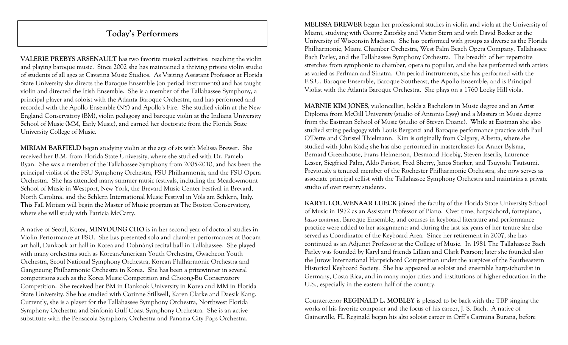# **Today's Performers**

**VALERIE PREBYS ARSENAULT** has two favorite musical activities: teaching the violin and playing baroque music. Since 2002 she has maintained a thriving private violin studio of students of all ages at Cavatina Music Studios. As Visiting Assistant Professor at Florida State University she directs the Baroque Ensemble (on period instruments) and has taught violin and directed the Irish Ensemble. She is a member of the Tallahassee Symphony, a principal player and soloist with the Atlanta Baroque Orchestra, and has performed and recorded with the Apollo Ensemble (NY) and Apollo's Fire. She studied violin at the New England Conservatory (BM), violin pedagogy and baroque violin at the Indiana University School of Music (MM, Early Music), and earned her doctorate from the Florida State University College of Music.

**MIRIAM BARFIELD** began studying violin at the age of six with Melissa Brewer. She received her B.M. from Florida State University, where she studied with Dr. Pamela Ryan. She was a member of the Tallahassee Symphony from 2005-2010, and has been the principal violist of the FSU Symphony Orchestra, FSU Philharmonia, and the FSU Opera Orchestra. She has attended many summer music festivals, including the Meadowmount School of Music in Westport, New York, the Brevard Music Center Festival in Brevard, North Carolina, and the Schlern International Music Festival in Völs am Schlern, Italy. This Fall Miriam will begin the Master of Music program at The Boston Conservatory, where she will study with Patricia McCarty.

A native of Seoul, Korea, **MINYOUNG CHO** is in her second year of doctoral studies in Violin Performance at FSU. She has presented solo and chamber performances at Booam art hall, Dankook art hall in Korea and Dohnányi recital hall in Tallahassee. She played with many orchestras such as Korean-American Youth Orchestra, Gwacheon Youth Orchestra, Seoul National Symphony Orchestra, Korean Philharmonic Orchestra and Gangneung Philharmonic Orchestra in Korea. She has been a prizewinner in several competitions such as the Korea Music Competition and Choong-Bu Conservatory Competition. She received her BM in Dankook University in Korea and MM in Florida State University. She has studied with Corinne Stillwell, Karen Clarke and Daesik Kang. Currently, she is a player for the Tallahassee Symphony Orchestra, Northwest Florida Symphony Orchestra and Sinfonia Gulf Coast Symphony Orchestra. She is an active substitute with the Pensacola Symphony Orchestra and Panama City Pops Orchestra.

**MELISSA BREWER** began her professional studies in violin and viola at the University of Miami, studying with George Zazofsky and Victor Stern and with David Becker at the University of Wisconsin Madison. She has performed with groups as diverse as the Florida Philharmonic, Miami Chamber Orchestra, West Palm Beach Opera Company, Tallahassee Bach Parley, and the Tallahassee Symphony Orchestra. The breadth of her repertoire stretches from symphonic to chamber, opera to popular, and she has performed with artists as varied as Perlman and Sinatra. On period instruments, she has performed with the F.S.U. Baroque Ensemble, Baroque Southeast, the Apollo Ensemble, and is Principal Violist with the Atlanta Baroque Orchestra. She plays on a 1760 Locky Hill viola.

**MARNIE KIM JONES**, violoncellist, holds a Bachelors in Music degree and an Artist Diploma from McGill University (studio of Antonio Lysy) and a Masters in Music degree from the Eastman School of Music (studio of Steven Doane). While at Eastman she also studied string pedagogy with Louis Bergonzi and Baroque performance practice with Paul O'Dette and Christel Thielmann. Kim is originally from Calgary, Alberta, where she studied with John Kadz; she has also performed in masterclasses for Anner Bylsma, Bernard Greenhouse, Franz Helmerson, Desmond Hoebig, Steven Isserlis, Laurence Lesser, Siegfried Palm, Aldo Parisot, Fred Sherry, Janos Starker, and Tsuyoshi Tsutsumi. Previously a tenured member of the Rochester Philharmonic Orchestra, she now serves as associate principal cellist with the Tallahassee Symphony Orchestra and maintains a private studio of over twenty students.

**KARYL LOUWENAAR LUECK** joined the faculty of the Florida State University School of Music in 1972 as an Assistant Professor of Piano. Over time, harpsichord, fortepiano, *basso continuo,* Baroque Ensemble, and courses in keyboard literature and performance practice were added to her assignment; and during the last six years of her tenure she also served as Coordinator of the Keyboard Area. Since her retirement in 2007, she has continued as an Adjunct Professor at the College of Music. In 1981 The Tallahassee Bach Parley was founded by Karyl and friends Lillian and Clark Pearson; later she founded also the Jurow International Harpsichord Competition under the auspices of the Southeastern Historical Keyboard Society. She has appeared as soloist and ensemble harpsichordist in Germany, Costa Rica, and in many major cities and institutions of higher education in the U.S., especially in the eastern half of the country.

Countertenor **REGINALD L. MOBLEY** is pleased to be back with the TBP singing the works of his favorite composer and the focus of his career, J. S. Bach. A native of Gainesville, FL Reginald began his alto soloist career in Orff's Carmina Burana, before